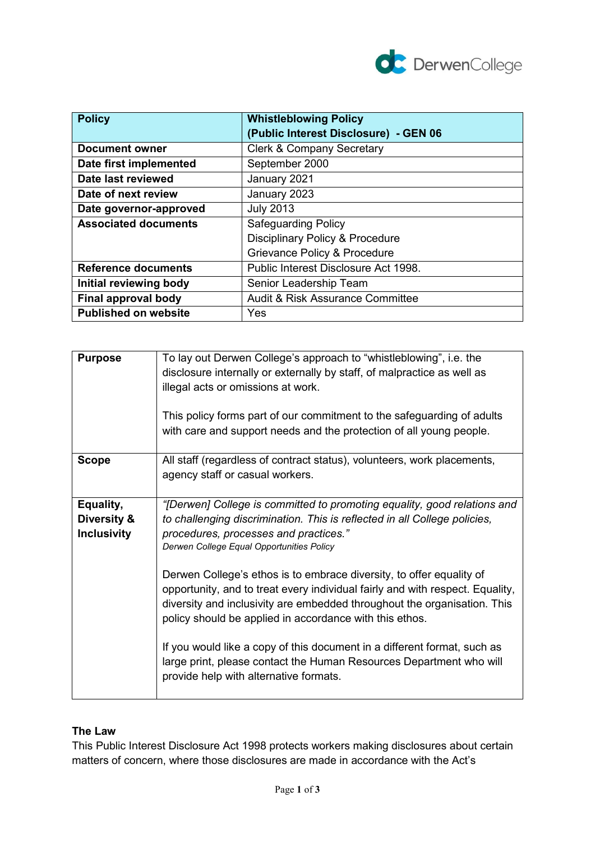

| <b>Policy</b>               | <b>Whistleblowing Policy</b>                |
|-----------------------------|---------------------------------------------|
|                             | (Public Interest Disclosure) - GEN 06       |
| <b>Document owner</b>       | <b>Clerk &amp; Company Secretary</b>        |
| Date first implemented      | September 2000                              |
| Date last reviewed          | January 2021                                |
| Date of next review         | January 2023                                |
| Date governor-approved      | <b>July 2013</b>                            |
| <b>Associated documents</b> | <b>Safeguarding Policy</b>                  |
|                             | <b>Disciplinary Policy &amp; Procedure</b>  |
|                             | Grievance Policy & Procedure                |
| <b>Reference documents</b>  | Public Interest Disclosure Act 1998.        |
| Initial reviewing body      | Senior Leadership Team                      |
| Final approval body         | <b>Audit &amp; Risk Assurance Committee</b> |
| <b>Published on website</b> | <b>Yes</b>                                  |

| <b>Purpose</b>                                 | To lay out Derwen College's approach to "whistleblowing", i.e. the<br>disclosure internally or externally by staff, of malpractice as well as<br>illegal acts or omissions at work.<br>This policy forms part of our commitment to the safeguarding of adults<br>with care and support needs and the protection of all young people.                                                                                                                                                                                                                                                                                                                                                                                                     |
|------------------------------------------------|------------------------------------------------------------------------------------------------------------------------------------------------------------------------------------------------------------------------------------------------------------------------------------------------------------------------------------------------------------------------------------------------------------------------------------------------------------------------------------------------------------------------------------------------------------------------------------------------------------------------------------------------------------------------------------------------------------------------------------------|
| <b>Scope</b>                                   | All staff (regardless of contract status), volunteers, work placements,<br>agency staff or casual workers.                                                                                                                                                                                                                                                                                                                                                                                                                                                                                                                                                                                                                               |
| Equality,<br>Diversity &<br><b>Inclusivity</b> | "[Derwen] College is committed to promoting equality, good relations and<br>to challenging discrimination. This is reflected in all College policies,<br>procedures, processes and practices."<br>Derwen College Equal Opportunities Policy<br>Derwen College's ethos is to embrace diversity, to offer equality of<br>opportunity, and to treat every individual fairly and with respect. Equality,<br>diversity and inclusivity are embedded throughout the organisation. This<br>policy should be applied in accordance with this ethos.<br>If you would like a copy of this document in a different format, such as<br>large print, please contact the Human Resources Department who will<br>provide help with alternative formats. |

# **The Law**

This Public Interest Disclosure Act 1998 protects workers making disclosures about certain matters of concern, where those disclosures are made in accordance with the Act's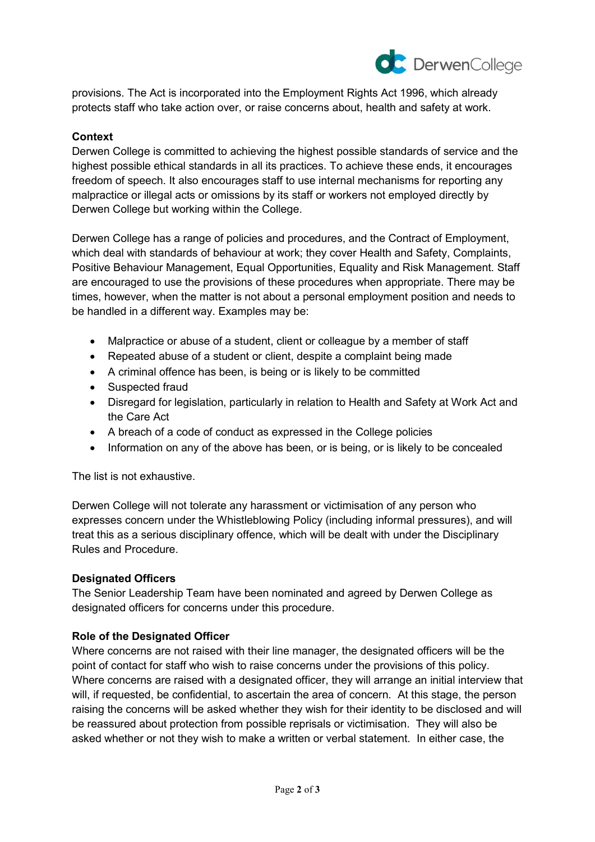

provisions. The Act is incorporated into the Employment Rights Act 1996, which already protects staff who take action over, or raise concerns about, health and safety at work.

## **Context**

Derwen College is committed to achieving the highest possible standards of service and the highest possible ethical standards in all its practices. To achieve these ends, it encourages freedom of speech. It also encourages staff to use internal mechanisms for reporting any malpractice or illegal acts or omissions by its staff or workers not employed directly by Derwen College but working within the College.

Derwen College has a range of policies and procedures, and the Contract of Employment, which deal with standards of behaviour at work; they cover Health and Safety, Complaints, Positive Behaviour Management, Equal Opportunities, Equality and Risk Management. Staff are encouraged to use the provisions of these procedures when appropriate. There may be times, however, when the matter is not about a personal employment position and needs to be handled in a different way. Examples may be:

- Malpractice or abuse of a student, client or colleague by a member of staff
- Repeated abuse of a student or client, despite a complaint being made
- A criminal offence has been, is being or is likely to be committed
- Suspected fraud
- Disregard for legislation, particularly in relation to Health and Safety at Work Act and the Care Act
- A breach of a code of conduct as expressed in the College policies
- Information on any of the above has been, or is being, or is likely to be concealed

The list is not exhaustive.

Derwen College will not tolerate any harassment or victimisation of any person who expresses concern under the Whistleblowing Policy (including informal pressures), and will treat this as a serious disciplinary offence, which will be dealt with under the Disciplinary Rules and Procedure.

#### **Designated Officers**

The Senior Leadership Team have been nominated and agreed by Derwen College as designated officers for concerns under this procedure.

#### **Role of the Designated Officer**

Where concerns are not raised with their line manager, the designated officers will be the point of contact for staff who wish to raise concerns under the provisions of this policy. Where concerns are raised with a designated officer, they will arrange an initial interview that will, if requested, be confidential, to ascertain the area of concern. At this stage, the person raising the concerns will be asked whether they wish for their identity to be disclosed and will be reassured about protection from possible reprisals or victimisation. They will also be asked whether or not they wish to make a written or verbal statement. In either case, the